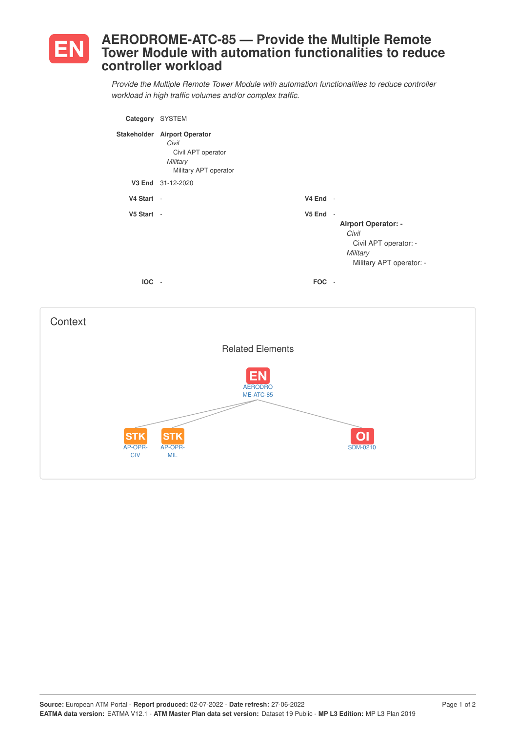

## **AERODROME-ATC-85 — Provide the Multiple Remote Tower Module with automation functionalities to reduce controller workload**

*Provide the Multiple Remote Tower Module with automation functionalities to reduce controller workload in high traffic volumes and/or complex traffic.*

| Category   | <b>SYSTEM</b>                                                                                    |                                    |                                                                                                      |
|------------|--------------------------------------------------------------------------------------------------|------------------------------------|------------------------------------------------------------------------------------------------------|
|            | Stakeholder Airport Operator<br>Civil<br>Civil APT operator<br>Military<br>Military APT operator |                                    |                                                                                                      |
|            | V3 End 31-12-2020                                                                                |                                    |                                                                                                      |
| V4 Start - |                                                                                                  | $V4$ End -                         |                                                                                                      |
| V5 Start - |                                                                                                  | V5 End<br>$\overline{\phantom{a}}$ | <b>Airport Operator: -</b><br>Civil<br>Civil APT operator: -<br>Military<br>Military APT operator: - |
| <b>IOC</b> |                                                                                                  | <b>FOC</b>                         |                                                                                                      |